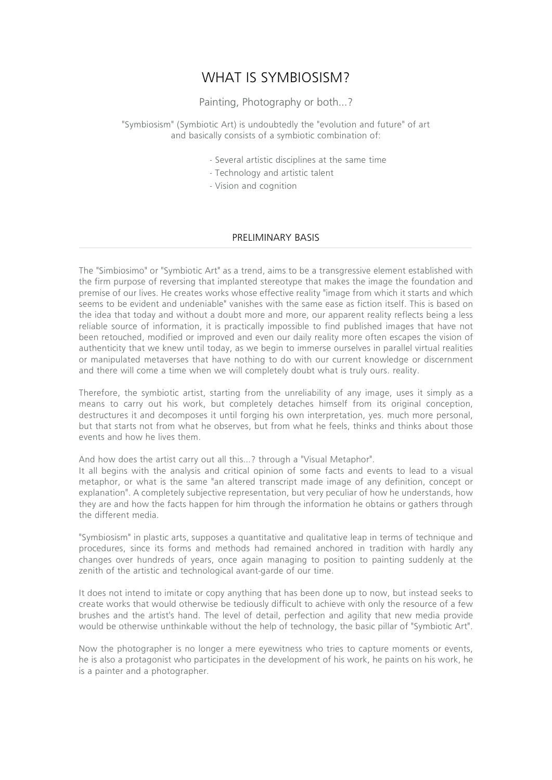# WHAT IS SYMBIOSISM?

Painting, Photography or both...?

"Symbiosism" (Symbiotic Art) is undoubtedly the "evolution and future" of art and basically consists of a symbiotic combination of:

- Several artistic disciplines at the same time
- Technology and artistic talent
- Vision and cognition

### PRELIMINARY BASIS

The "Simbiosimo" or "Symbiotic Art" as a trend, aims to be a transgressive element established with the firm purpose of reversing that implanted stereotype that makes the image the foundation and premise of our lives. He creates works whose effective reality "image from which it starts and which seems to be evident and undeniable" vanishes with the same ease as fiction itself. This is based on the idea that today and without a doubt more and more, our apparent reality reflects being a less reliable source of information, it is practically impossible to find published images that have not been retouched, modified or improved and even our daily reality more often escapes the vision of authenticity that we knew until today, as we begin to immerse ourselves in parallel virtual realities or manipulated metaverses that have nothing to do with our current knowledge or discernment and there will come a time when we will completely doubt what is truly ours. reality.

Therefore, the symbiotic artist, starting from the unreliability of any image, uses it simply as a means to carry out his work, but completely detaches himself from its original conception, destructures it and decomposes it until forging his own interpretation, yes. much more personal, but that starts not from what he observes, but from what he feels, thinks and thinks about those events and how he lives them.

And how does the artist carry out all this…? through a "Visual Metaphor".

It all begins with the analysis and critical opinion of some facts and events to lead to a visual metaphor, or what is the same "an altered transcript made image of any definition, concept or explanation". A completely subjective representation, but very peculiar of how he understands, how they are and how the facts happen for him through the information he obtains or gathers through the different media.

"Symbiosism" in plastic arts, supposes a quantitative and qualitative leap in terms of technique and procedures, since its forms and methods had remained anchored in tradition with hardly any changes over hundreds of years, once again managing to position to painting suddenly at the zenith of the artistic and technological avant-garde of our time.

It does not intend to imitate or copy anything that has been done up to now, but instead seeks to create works that would otherwise be tediously difficult to achieve with only the resource of a few brushes and the artist's hand. The level of detail, perfection and agility that new media provide would be otherwise unthinkable without the help of technology, the basic pillar of "Symbiotic Art".

Now the photographer is no longer a mere eyewitness who tries to capture moments or events, he is also a protagonist who participates in the development of his work, he paints on his work, he is a painter and a photographer.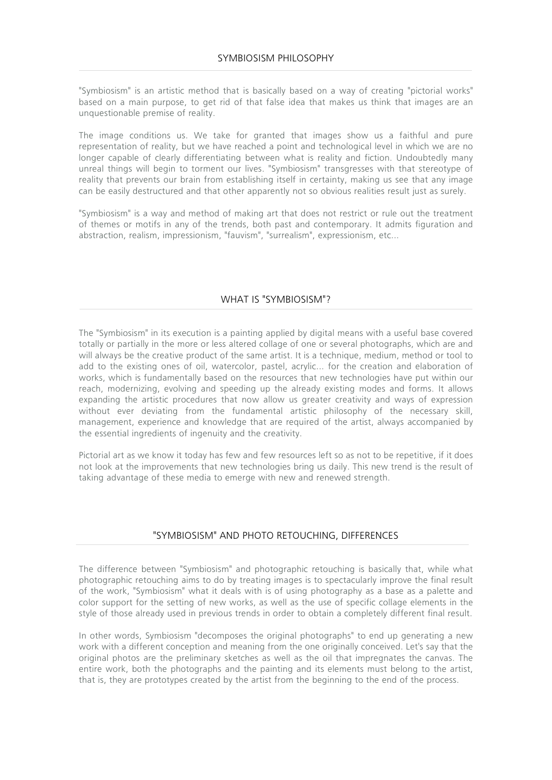"Symbiosism" is an artistic method that is basically based on a way of creating "pictorial works" based on a main purpose, to get rid of that false idea that makes us think that images are an unquestionable premise of reality.

The image conditions us. We take for granted that images show us a faithful and pure representation of reality, but we have reached a point and technological level in which we are no longer capable of clearly differentiating between what is reality and fiction. Undoubtedly many unreal things will begin to torment our lives. "Symbiosism" transgresses with that stereotype of reality that prevents our brain from establishing itself in certainty, making us see that any image can be easily destructured and that other apparently not so obvious realities result just as surely.

"Symbiosism" is a way and method of making art that does not restrict or rule out the treatment of themes or motifs in any of the trends, both past and contemporary. It admits figuration and abstraction, realism, impressionism, "fauvism", "surrealism", expressionism, etc...

## WHAT IS "SYMBIOSISM"?

The "Symbiosism" in its execution is a painting applied by digital means with a useful base covered totally or partially in the more or less altered collage of one or several photographs, which are and will always be the creative product of the same artist. It is a technique, medium, method or tool to add to the existing ones of oil, watercolor, pastel, acrylic... for the creation and elaboration of works, which is fundamentally based on the resources that new technologies have put within our reach, modernizing, evolving and speeding up the already existing modes and forms. It allows expanding the artistic procedures that now allow us greater creativity and ways of expression without ever deviating from the fundamental artistic philosophy of the necessary skill, management, experience and knowledge that are required of the artist, always accompanied by the essential ingredients of ingenuity and the creativity.

Pictorial art as we know it today has few and few resources left so as not to be repetitive, if it does not look at the improvements that new technologies bring us daily. This new trend is the result of taking advantage of these media to emerge with new and renewed strength.

### "SYMBIOSISM" AND PHOTO RETOUCHING, DIFFERENCES

The difference between "Symbiosism" and photographic retouching is basically that, while what photographic retouching aims to do by treating images is to spectacularly improve the final result of the work, "Symbiosism" what it deals with is of using photography as a base as a palette and color support for the setting of new works, as well as the use of specific collage elements in the style of those already used in previous trends in order to obtain a completely different final result.

In other words, Symbiosism "decomposes the original photographs" to end up generating a new work with a different conception and meaning from the one originally conceived. Let's say that the original photos are the preliminary sketches as well as the oil that impregnates the canvas. The entire work, both the photographs and the painting and its elements must belong to the artist, that is, they are prototypes created by the artist from the beginning to the end of the process.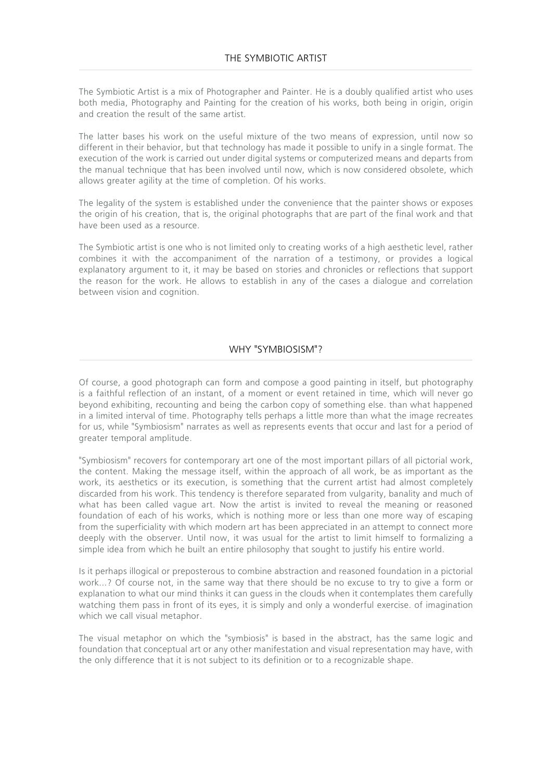The Symbiotic Artist is a mix of Photographer and Painter. He is a doubly qualified artist who uses both media, Photography and Painting for the creation of his works, both being in origin, origin and creation the result of the same artist.

The latter bases his work on the useful mixture of the two means of expression, until now so different in their behavior, but that technology has made it possible to unify in a single format. The execution of the work is carried out under digital systems or computerized means and departs from the manual technique that has been involved until now, which is now considered obsolete, which allows greater agility at the time of completion. Of his works.

The legality of the system is established under the convenience that the painter shows or exposes the origin of his creation, that is, the original photographs that are part of the final work and that have been used as a resource.

The Symbiotic artist is one who is not limited only to creating works of a high aesthetic level, rather combines it with the accompaniment of the narration of a testimony, or provides a logical explanatory argument to it, it may be based on stories and chronicles or reflections that support the reason for the work. He allows to establish in any of the cases a dialogue and correlation between vision and cognition.

## WHY "SYMBIOSISM"?

Of course, a good photograph can form and compose a good painting in itself, but photography is a faithful reflection of an instant, of a moment or event retained in time, which will never go beyond exhibiting, recounting and being the carbon copy of something else. than what happened in a limited interval of time. Photography tells perhaps a little more than what the image recreates for us, while "Symbiosism" narrates as well as represents events that occur and last for a period of greater temporal amplitude.

"Symbiosism" recovers for contemporary art one of the most important pillars of all pictorial work, the content. Making the message itself, within the approach of all work, be as important as the work, its aesthetics or its execution, is something that the current artist had almost completely discarded from his work. This tendency is therefore separated from vulgarity, banality and much of what has been called vague art. Now the artist is invited to reveal the meaning or reasoned foundation of each of his works, which is nothing more or less than one more way of escaping from the superficiality with which modern art has been appreciated in an attempt to connect more deeply with the observer. Until now, it was usual for the artist to limit himself to formalizing a simple idea from which he built an entire philosophy that sought to justify his entire world.

Is it perhaps illogical or preposterous to combine abstraction and reasoned foundation in a pictorial work...? Of course not, in the same way that there should be no excuse to try to give a form or explanation to what our mind thinks it can guess in the clouds when it contemplates them carefully watching them pass in front of its eyes, it is simply and only a wonderful exercise. of imagination which we call visual metaphor.

The visual metaphor on which the "symbiosis" is based in the abstract, has the same logic and foundation that conceptual art or any other manifestation and visual representation may have, with the only difference that it is not subject to its definition or to a recognizable shape.